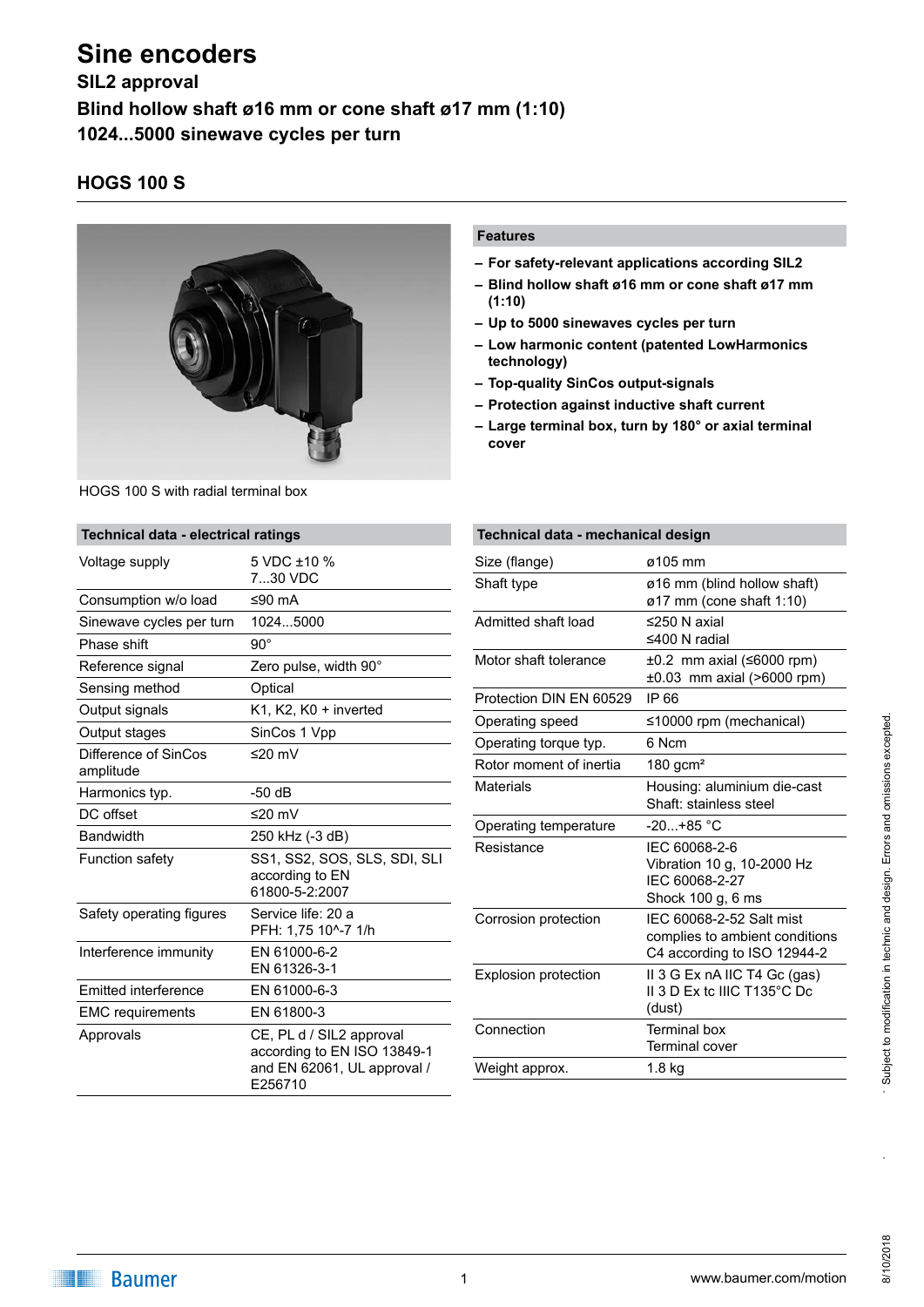## **SIL2 approval Blind hollow shaft ø16 mm or cone shaft ø17 mm (1:10) 1024...5000 sinewave cycles per turn**

## **HOGS 100 S**



HOGS 100 S with radial terminal box

### **Technical data - electrical ratings**

| Voltage supply                    | 5 VDC ±10 %<br>730 VDC                                                                            |
|-----------------------------------|---------------------------------------------------------------------------------------------------|
| Consumption w/o load              | ≤90 $mA$                                                                                          |
| Sinewave cycles per turn          | 10245000                                                                                          |
| Phase shift                       | $90^{\circ}$                                                                                      |
| Reference signal                  | Zero pulse, width 90°                                                                             |
| Sensing method                    | Optical                                                                                           |
| Output signals                    | K1, K2, K0 + inverted                                                                             |
| Output stages                     | SinCos 1 Vpp                                                                                      |
| Difference of SinCos<br>amplitude | ≤20 $mV$                                                                                          |
| Harmonics typ.                    | $-50dB$                                                                                           |
| DC offset                         | ≤20 mV                                                                                            |
| <b>Bandwidth</b>                  | 250 kHz (-3 dB)                                                                                   |
| <b>Function safety</b>            | SS1, SS2, SOS, SLS, SDI, SLI<br>according to EN<br>61800-5-2:2007                                 |
| Safety operating figures          | Service life: 20 a<br>PFH: 1,75 10^-7 1/h                                                         |
| Interference immunity             | EN 61000-6-2<br>EN 61326-3-1                                                                      |
| <b>Emitted interference</b>       | EN 61000-6-3                                                                                      |
| <b>EMC</b> requirements           | EN 61800-3                                                                                        |
| Approvals                         | CE, PL d / SIL2 approval<br>according to EN ISO 13849-1<br>and EN 62061, UL approval /<br>E256710 |

#### **Features**

- **– For safety-relevant applications according SIL2**
- **– Blind hollow shaft ø16 mm or cone shaft ø17 mm (1:10)**
- **– Up to 5000 sinewaves cycles per turn**
- **– Low harmonic content (patented LowHarmonics technology)**
- **– Top-quality SinCos output-signals**
- **– Protection against inductive shaft current**
- **– Large terminal box, turn by 180° or axial terminal cover**

| Technical data - mechanical design |                                                                                           |  |
|------------------------------------|-------------------------------------------------------------------------------------------|--|
| Size (flange)                      | ø105 mm                                                                                   |  |
| Shaft type                         | ø16 mm (blind hollow shaft)<br>$\varnothing$ 17 mm (cone shaft 1:10)                      |  |
| Admitted shaft load                | $\leq$ 250 N axial<br>≤400 N radial                                                       |  |
| Motor shaft tolerance              | $\pm 0.2$ mm axial ( $\leq 6000$ rpm)<br>±0.03 mm axial (>6000 rpm)                       |  |
| Protection DIN EN 60529            | IP 66                                                                                     |  |
| Operating speed                    | $\leq$ 10000 rpm (mechanical)                                                             |  |
| Operating torque typ.              | 6 Ncm                                                                                     |  |
| Rotor moment of inertia            | 180 $gcm2$                                                                                |  |
| Materials                          | Housing: aluminium die-cast<br>Shaft: stainless steel                                     |  |
| Operating temperature              | $-20+85 °C$                                                                               |  |
| Resistance                         | IEC 60068-2-6<br>Vibration 10 g, 10-2000 Hz<br>IFC 60068-2-27<br>Shock 100 g, 6 ms        |  |
| Corrosion protection               | IEC 60068-2-52 Salt mist<br>complies to ambient conditions<br>C4 according to ISO 12944-2 |  |
| <b>Explosion protection</b>        | II 3 G Ex nA IIC T4 Gc (gas)<br>II 3 D Ex tc IIIC T135°C Dc<br>(dust)                     |  |
| Connection                         | <b>Terminal box</b><br>Terminal cover                                                     |  |
| Weight approx.                     | $1.8$ kg                                                                                  |  |

8/10/2018

8/10/2018

**Baumer**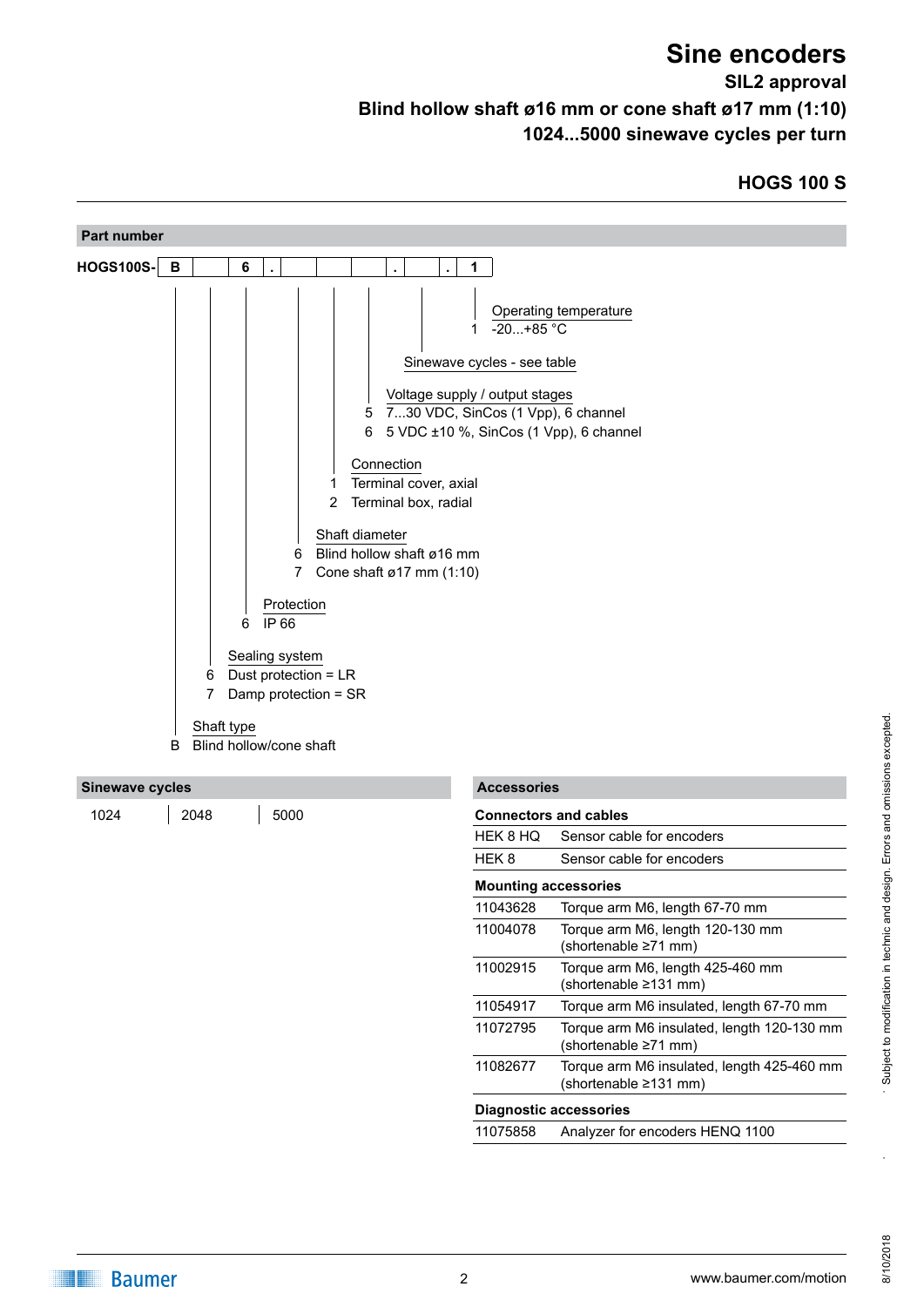## **SIL2 approval Blind hollow shaft ø16 mm or cone shaft ø17 mm (1:10) 1024...5000 sinewave cycles per turn**

### **HOGS 100 S**



#### **Sinewave cycles**

1024 2048 5000

| <b>Accessories</b>           |                                                                           |  |
|------------------------------|---------------------------------------------------------------------------|--|
| <b>Connectors and cables</b> |                                                                           |  |
| HEK 8 HQ                     | Sensor cable for encoders                                                 |  |
| HEK 8                        | Sensor cable for encoders                                                 |  |
| <b>Mounting accessories</b>  |                                                                           |  |
| 11043628                     | Torque arm M6, length 67-70 mm                                            |  |
| 11004078                     | Torque arm M6, length 120-130 mm<br>(shortenable ≥71 mm)                  |  |
| 11002915                     | Torque arm M6, length 425-460 mm<br>(shortenable $\geq$ 131 mm)           |  |
| 11054917                     | Torque arm M6 insulated, length 67-70 mm                                  |  |
| 11072795                     | Torque arm M6 insulated, length 120-130 mm<br>(shortenable ≥71 mm)        |  |
| 11082677                     | Torque arm M6 insulated, length 425-460 mm<br>(shortenable $\geq$ 131 mm) |  |
| Diagnostic accessories       |                                                                           |  |
| 11075858                     | Analyzer for encoders HENQ 1100                                           |  |

·

8/10/2018

8/10/2018

**Baumer**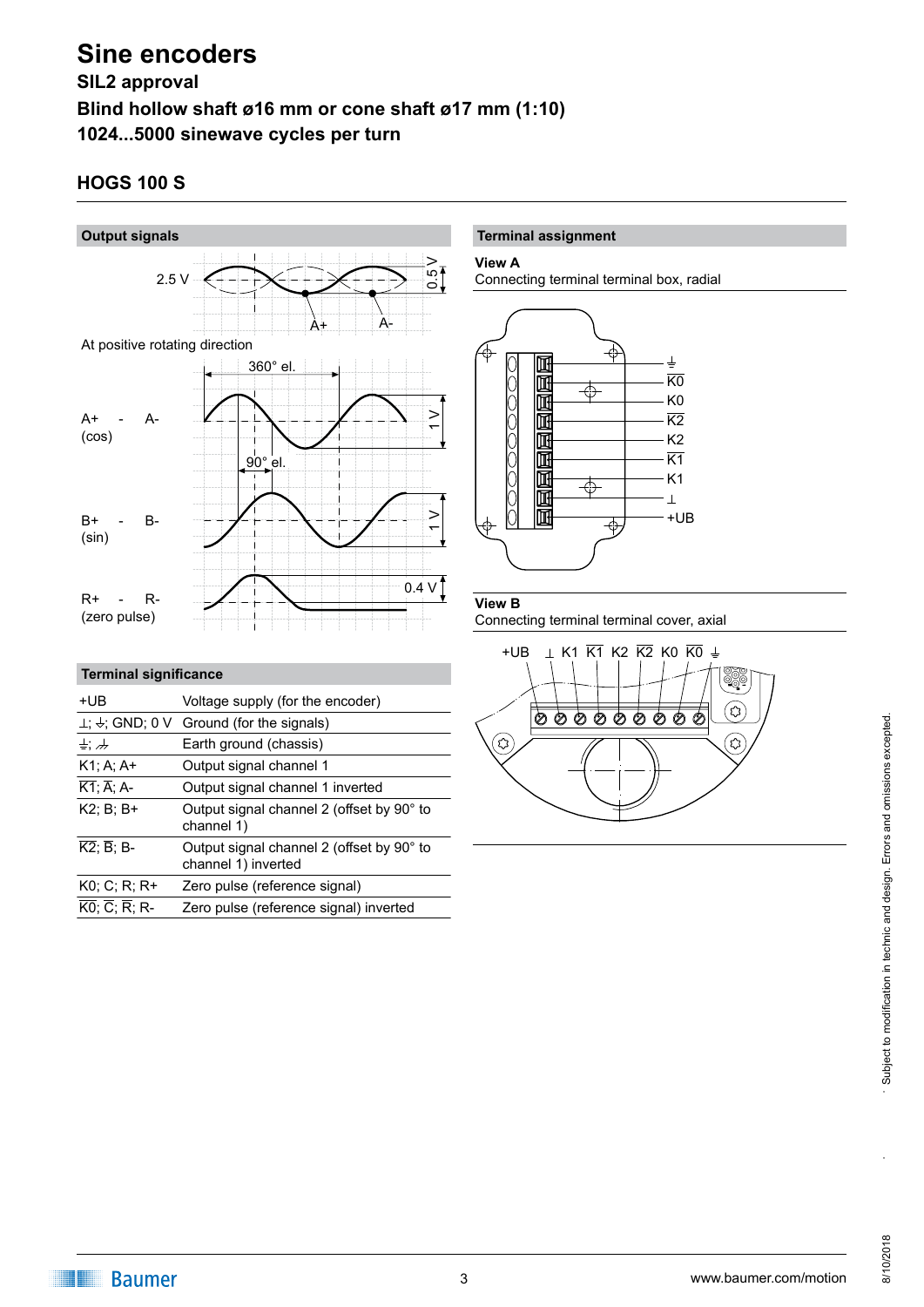## **SIL2 approval Blind hollow shaft ø16 mm or cone shaft ø17 mm (1:10) 1024...5000 sinewave cycles per turn**

### **HOGS 100 S**



### **Terminal significance**

| +UB                                                    | Voltage supply (for the encoder)                                 |
|--------------------------------------------------------|------------------------------------------------------------------|
|                                                        | $\perp$ ; $\div$ ; GND; 0 V Ground (for the signals)             |
| $\overline{=}$ ; $\not\rightarrow$                     | Earth ground (chassis)                                           |
| $K1$ ; A; A+                                           | Output signal channel 1                                          |
| $\overline{K1}$ ; $\overline{A}$ ; A-                  | Output signal channel 1 inverted                                 |
| $K2$ ; B; B+                                           | Output signal channel 2 (offset by 90° to<br>channel 1)          |
| $\overline{K2}$ ; $\overline{B}$ ; B-                  | Output signal channel 2 (offset by 90° to<br>channel 1) inverted |
| K0; C; R; R+                                           | Zero pulse (reference signal)                                    |
| $\overline{KO}$ : $\overline{C}$ : $\overline{R}$ : R- | Zero pulse (reference signal) inverted                           |

### **Terminal assignment**

#### **View A**

Connecting terminal terminal box, radial



### **View B**

Connecting terminal terminal cover, axial



·